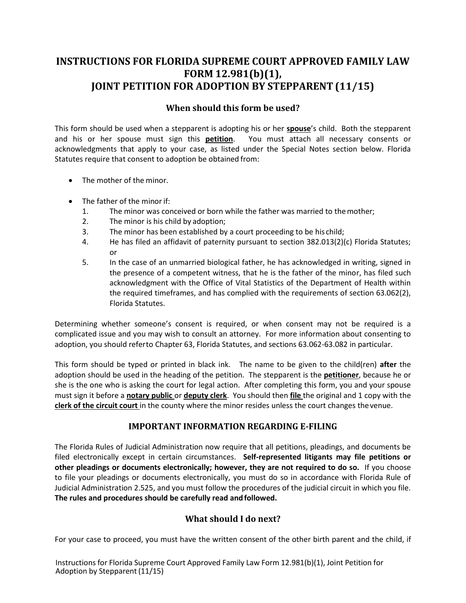# **INSTRUCTIONS FOR FLORIDA SUPREME COURT APPROVED FAMILY LAW FORM 12.981(b)(1), JOINT PETITION FOR ADOPTION BY STEPPARENT (11/15)**

# **When should this form be used?**

This form should be used when a stepparent is adopting his or her **spouse**'s child. Both the stepparent and his or her spouse must sign this **petition**. You must attach all necessary consents or acknowledgments that apply to your case, as listed under the Special Notes section below. Florida Statutes require that consent to adoption be obtained from:

- The mother of the minor.
- The father of the minor if:
	- 1. The minor was conceived or born while the father was married to the mother;
	- 2. The minor is his child by adoption;
	- 3. The minor has been established by a court proceeding to be his child;
	- 4. He has filed an affidavit of paternity pursuant to section 382.013(2)(c) Florida Statutes; or
	- 5. In the case of an unmarried biological father, he has acknowledged in writing, signed in the presence of a competent witness, that he is the father of the minor, has filed such acknowledgment with the Office of Vital Statistics of the Department of Health within the required timeframes, and has complied with the requirements of section 63.062(2), Florida Statutes.

Determining whether someone's consent is required, or when consent may not be required is a complicated issue and you may wish to consult an attorney. For more information about consenting to adoption, you should referto Chapter 63, Florida Statutes, and sections 63.062-63.082 in particular.

This form should be typed or printed in black ink. The name to be given to the child(ren) **after** the adoption should be used in the heading of the petition. The stepparent is the **petitioner**, because he or she is the one who is asking the court for legal action. After completing this form, you and your spouse must sign it before a **notary public** or **deputy clerk**. You should then **file** the original and 1 copy with the **clerk of the circuit court** in the county where the minor resides unless the court changes the venue.

# **IMPORTANT INFORMATION REGARDING E-FILING**

The Florida Rules of Judicial Administration now require that all petitions, pleadings, and documents be filed electronically except in certain circumstances. **Self-represented litigants may file petitions or other pleadings or documents electronically; however, they are not required to do so.** If you choose to file your pleadings or documents electronically, you must do so in accordance with Florida Rule of Judicial Administration 2.525, and you must follow the procedures of the judicial circuit in which you file. **The rules and procedures should be carefully read and followed.** 

# **What should I do next?**

For your case to proceed, you must have the written consent of the other birth parent and the child, if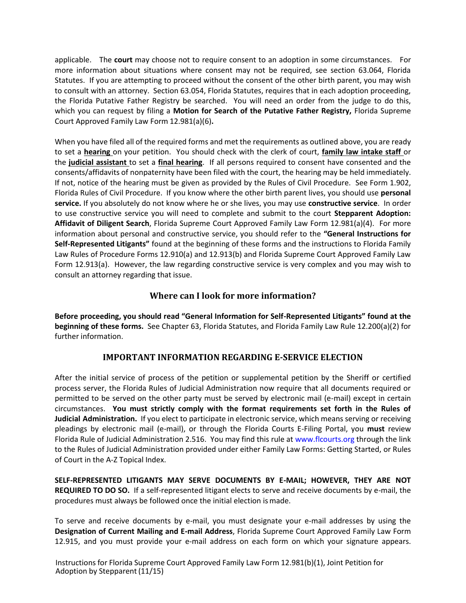applicable. The **court** may choose not to require consent to an adoption in some circumstances. For more information about situations where consent may not be required, see section 63.064, Florida Statutes. If you are attempting to proceed without the consent of the other birth parent, you may wish to consult with an attorney. Section 63.054, Florida Statutes, requires that in each adoption proceeding, the Florida Putative Father Registry be searched. You will need an order from the judge to do this, which you can request by filing a **Motion for Search of the Putative Father Registry,** Florida Supreme Court Approved Family Law Form 12.981(a)(6)**.**

When you have filed all of the required forms and met the requirements as outlined above, you are ready to set a **hearing** on your petition. You should check with the clerk of court, **family law intake staff** or the **judicial assistant** to set a **final hearing**. If all persons required to consent have consented and the consents/affidavits of nonpaternity have been filed with the court, the hearing may be held immediately. If not, notice of the hearing must be given as provided by the Rules of Civil Procedure. See Form 1.902, Florida Rules of Civil Procedure. If you know where the other birth parent lives, you should use **personal service.** If you absolutely do not know where he or she lives, you may use **constructive service**. In order to use constructive service you will need to complete and submit to the court **Stepparent Adoption: Affidavit of Diligent Search**, Florida Supreme Court Approved Family Law Form 12.981(a)(4). For more information about personal and constructive service, you should refer to the **"General Instructions for Self-Represented Litigants"** found at the beginning of these forms and the instructions to Florida Family Law Rules of Procedure Forms 12.910(a) and 12.913(b) and Florida Supreme Court Approved Family Law Form 12.913(a). However, the law regarding constructive service is very complex and you may wish to consult an attorney regarding that issue.

# **Where can I look for more information?**

**Before proceeding, you should read "General Information for Self-Represented Litigants" found at the beginning of these forms.** See Chapter 63, Florida Statutes, and Florida Family Law Rule 12.200(a)(2) for further information.

#### **IMPORTANT INFORMATION REGARDING E-SERVICE ELECTION**

After the initial service of process of the petition or supplemental petition by the Sheriff or certified process server, the Florida Rules of Judicial Administration now require that all documents required or permitted to be served on the other party must be served by electronic mail (e-mail) except in certain circumstances. **You must strictly comply with the format requirements set forth in the Rules of Judicial Administration.** If you elect to participate in electronic service, which means serving or receiving pleadings by electronic mail (e-mail), or through the Florida Courts E-Filing Portal, you **must** review Florida Rule of Judicial Administration 2.516. You may find this rule at [www.flcourts.org](http://www.flcourts.org/) through the link to the Rules of Judicial Administration provided under either Family Law Forms: Getting Started, or Rules of Court in the A-Z Topical Index.

**SELF-REPRESENTED LITIGANTS MAY SERVE DOCUMENTS BY E-MAIL; HOWEVER, THEY ARE NOT REQUIRED TO DO SO.** If a self-represented litigant elects to serve and receive documents by e-mail, the procedures must always be followed once the initial election is made.

To serve and receive documents by e-mail, you must designate your e-mail addresses by using the **Designation of Current Mailing and E-mail Address**, Florida Supreme Court Approved Family Law Form 12.915, and you must provide your e-mail address on each form on which your signature appears.

Instructions for Florida Supreme Court Approved Family Law Form 12.981(b)(1), Joint Petition for Adoption by Stepparent (11/15)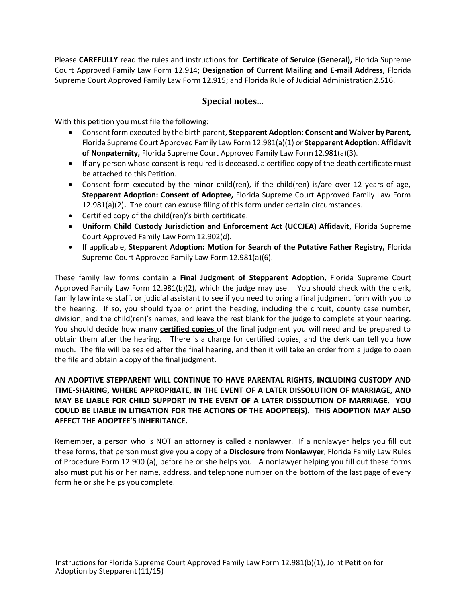Please **CAREFULLY** read the rules and instructions for: **Certificate of Service (General),** Florida Supreme Court Approved Family Law Form 12.914; **Designation of Current Mailing and E-mail Address**, Florida Supreme Court Approved Family Law Form 12.915; and Florida Rule of Judicial Administration 2.516.

### **Special notes...**

With this petition you must file the following:

- Consent form executed by the birth parent, **Stepparent Adoption**: **Consent and Waiver by Parent,**  Florida Supreme Court Approved Family Law Form 12.981(a)(1) or **Stepparent Adoption**: **Affidavit of Nonpaternity,** Florida Supreme Court Approved Family Law Form 12.981(a)(3).
- If any person whose consent is required is deceased, a certified copy of the death certificate must be attached to this Petition.
- Consent form executed by the minor child(ren), if the child(ren) is/are over 12 years of age, **Stepparent Adoption: Consent of Adoptee,** Florida Supreme Court Approved Family Law Form 12.981(a)(2)**.** The court can excuse filing of this form under certain circumstances.
- Certified copy of the child(ren)'s birth certificate.
- **Uniform Child Custody Jurisdiction and Enforcement Act (UCCJEA) Affidavit**, Florida Supreme Court Approved Family Law Form 12.902(d).
- If applicable, **Stepparent Adoption: Motion for Search of the Putative Father Registry,** Florida Supreme Court Approved Family Law Form 12.981(a)(6).

These family law forms contain a **Final Judgment of Stepparent Adoption**, Florida Supreme Court Approved Family Law Form 12.981(b)(2), which the judge may use. You should check with the clerk, family law intake staff, or judicial assistant to see if you need to bring a final judgment form with you to the hearing. If so, you should type or print the heading, including the circuit, county case number, division, and the child(ren)'s names, and leave the rest blank for the judge to complete at your hearing. You should decide how many **certified copies** of the final judgment you will need and be prepared to obtain them after the hearing. There is a charge for certified copies, and the clerk can tell you how much. The file will be sealed after the final hearing, and then it will take an order from a judge to open the file and obtain a copy of the final judgment.

#### **AN ADOPTIVE STEPPARENT WILL CONTINUE TO HAVE PARENTAL RIGHTS, INCLUDING CUSTODY AND TIME-SHARING, WHERE APPROPRIATE, IN THE EVENT OF A LATER DISSOLUTION OF MARRIAGE, AND MAY BE LIABLE FOR CHILD SUPPORT IN THE EVENT OF A LATER DISSOLUTION OF MARRIAGE. YOU COULD BE LIABLE IN LITIGATION FOR THE ACTIONS OF THE ADOPTEE(S). THIS ADOPTION MAY ALSO AFFECT THE ADOPTEE'S INHERITANCE.**

Remember, a person who is NOT an attorney is called a nonlawyer. If a nonlawyer helps you fill out these forms, that person must give you a copy of a **Disclosure from Nonlawyer**, Florida Family Law Rules of Procedure Form 12.900 (a), before he or she helps you. A nonlawyer helping you fill out these forms also **must** put his or her name, address, and telephone number on the bottom of the last page of every form he or she helps you complete.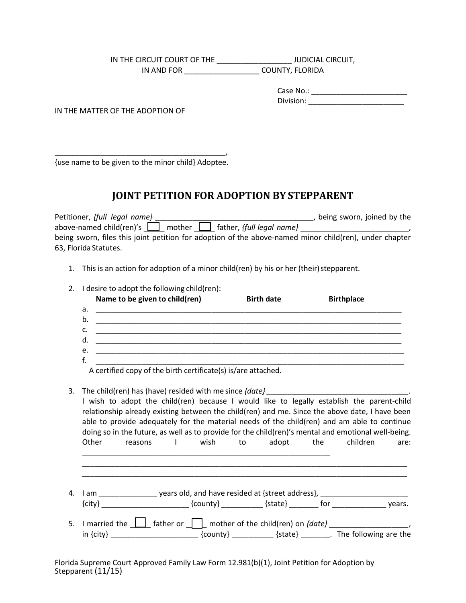IN THE CIRCUIT COURT OF THE \_\_\_\_\_\_\_\_\_\_\_\_\_\_\_\_\_\_ JUDICIAL CIRCUIT, IN AND FOR \_\_\_\_\_\_\_\_\_\_\_\_\_\_\_\_\_\_\_\_\_\_\_\_\_\_\_\_COUNTY, FLORIDA

| Case No.: |  |
|-----------|--|
| Division: |  |

IN THE MATTER OF THE ADOPTION OF

\_\_\_\_\_\_\_\_\_\_\_\_\_\_\_\_\_\_\_\_\_\_\_\_\_\_\_\_\_\_\_\_\_\_\_\_\_\_\_\_\_, {use name to be given to the minor child} Adoptee.

# **JOINT PETITION FOR ADOPTION BY STEPPARENT**

Petitioner, *{full legal name}* \_\_\_\_\_\_\_\_\_\_\_\_\_\_\_\_\_\_\_\_\_\_\_\_\_\_\_\_\_\_\_\_\_\_\_\_\_\_, being sworn, joined by the above-named child(ren)'s <u>[ \_ </u> \_ mother <u>[ \_ </u> \_ father, *{full legal name}* \_\_\_\_\_\_\_\_\_\_\_\_\_\_\_\_\_\_\_\_\_\_\_\_\_\_\_\_\_, being sworn, files this joint petition for adoption of the above-named minor child(ren), under chapter 63, Florida Statutes.

1. This is an action for adoption of a minor child(ren) by his or her (their) stepparent.

|    | 2. I desire to adopt the following child(ren):                                                                             |
|----|----------------------------------------------------------------------------------------------------------------------------|
|    | Name to be given to child(ren)<br><b>Birthplace</b><br><b>Birth date</b>                                                   |
|    | a.                                                                                                                         |
|    | b.<br><u> 1989 - Johann John Stone, markin film yn y brening yn y brening yn y brening yn y brening yn y brening y bre</u> |
|    | c.                                                                                                                         |
|    | d.<br><u> 1980 - Jan Berlin, Amerikaansk politiker († 1908)</u>                                                            |
|    | e.<br>and the control of the control of the control of the control of the control of the control of the control of the     |
|    | f.                                                                                                                         |
|    | A certified copy of the birth certificate(s) is/are attached.                                                              |
|    |                                                                                                                            |
| 3. |                                                                                                                            |
|    | I wish to adopt the child(ren) because I would like to legally establish the parent-child                                  |
|    | relationship already existing between the child(ren) and me. Since the above date, I have been                             |
|    | able to provide adequately for the material needs of the child(ren) and am able to continue                                |
|    | doing so in the future, as well as to provide for the child(ren)'s mental and emotional well-being.                        |
|    |                                                                                                                            |
|    | Other<br>l wish to<br>adopt the children<br>reasons<br>are:                                                                |
|    | <u> 1989 - Johann Stoff, amerikansk politiker (d. 1989)</u>                                                                |
|    |                                                                                                                            |
|    |                                                                                                                            |
|    |                                                                                                                            |
|    | 4. I am _____________________ years old, and have resided at {street address}, ___________________________                 |
|    |                                                                                                                            |
|    |                                                                                                                            |
|    |                                                                                                                            |
|    |                                                                                                                            |
|    |                                                                                                                            |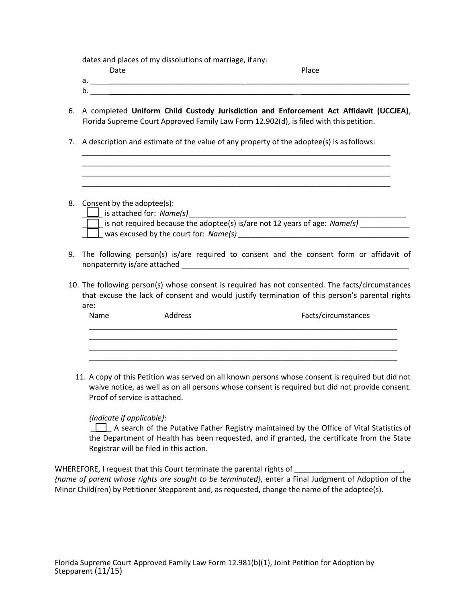dates and places of my dissolutions of marriage, if any:

- Date **Date** Place **Place** a.  $\frac{1}{2}$
- $\mathsf{b.}$
- 6. A completed **Uniform Child Custody Jurisdiction and Enforcement Act Affidavit (UCCJEA)**, Florida Supreme Court Approved Family Law Form 12.902(d), is filed with this petition.

\_\_\_\_\_\_\_\_\_\_\_\_\_\_\_\_\_\_\_\_\_\_\_\_\_\_\_\_\_\_\_\_\_\_\_\_\_\_\_\_\_\_\_\_\_\_\_\_\_\_\_\_\_\_\_\_\_\_\_\_\_\_\_\_\_\_\_\_\_\_\_\_\_\_ \_\_\_\_\_\_\_\_\_\_\_\_\_\_\_\_\_\_\_\_\_\_\_\_\_\_\_\_\_\_\_\_\_\_\_\_\_\_\_\_\_\_\_\_\_\_\_\_\_\_\_\_\_\_\_\_\_\_\_\_\_\_\_\_\_\_\_\_\_\_\_\_\_\_ \_\_\_\_\_\_\_\_\_\_\_\_\_\_\_\_\_\_\_\_\_\_\_\_\_\_\_\_\_\_\_\_\_\_\_\_\_\_\_\_\_\_\_\_\_\_\_\_\_\_\_\_\_\_\_\_\_\_\_\_\_\_\_\_\_\_\_\_\_\_\_\_\_\_ \_\_\_\_\_\_\_\_\_\_\_\_\_\_\_\_\_\_\_\_\_\_\_\_\_\_\_\_\_\_\_\_\_\_\_\_\_\_\_\_\_\_\_\_\_\_\_\_\_\_\_\_\_\_\_\_\_\_\_\_\_\_\_\_\_\_\_\_\_\_\_\_\_\_

- 7. A description and estimate of the value of any property of the adoptee(s) is as follows:
- 8. Consent by the adoptee(s):

\_\_\_\_\_ is attached for: *Name(s) \_\_\_\_\_\_\_\_\_\_\_\_\_\_\_\_\_\_\_\_\_\_\_\_\_\_\_\_\_\_\_\_\_\_\_\_\_\_\_\_\_\_\_\_\_\_\_\_\_\_\_\_*

- \_\_\_\_\_ is not required because the adoptee(s) is/are not 12 years of age: *Name(s) \_\_\_\_\_\_\_\_\_\_\_\_*
- \_\_\_\_\_ was excused by the court for: *Name(s) \_\_\_\_\_\_\_\_\_\_\_\_\_\_\_\_\_\_\_\_\_\_\_\_\_\_\_\_\_\_\_\_\_\_\_\_\_\_\_\_\_*
- 9. The following person(s) is/are required to consent and the consent form or affidavit of nonpaternity is/are attached \_\_\_\_\_\_\_\_\_\_\_\_\_\_\_\_\_\_\_\_\_\_\_\_\_\_\_\_\_\_\_\_\_\_\_\_\_\_\_\_\_\_\_\_\_\_\_\_\_\_\_\_\_\_\_
- 10. The following person(s) whose consent is required has not consented. The facts/circumstances that excuse the lack of consent and would justify termination of this person's parental rights are:

| Name | Address | Facts/circumstances |
|------|---------|---------------------|
|      |         |                     |
|      |         |                     |
|      |         |                     |

11. A copy of this Petition was served on all known persons whose consent is required but did not waive notice, as well as on all persons whose consent is required but did not provide consent. Proof of service is attached.

#### *{Indicate if applicable}:*

\_\_\_\_\_ A search of the Putative Father Registry maintained by the Office of Vital Statistics of the Department of Health has been requested, and if granted, the certificate from the State Registrar will be filed in this action.

WHEREFORE, I request that this Court terminate the parental rights of \_\_\_\_\_\_\_\_\_\_\_\_\_\_\_\_\_ *{name of parent whose rights are sought to be terminated}*, enter a Final Judgment of Adoption of the Minor Child(ren) by Petitioner Stepparent and, as requested, change the name of the adoptee(s).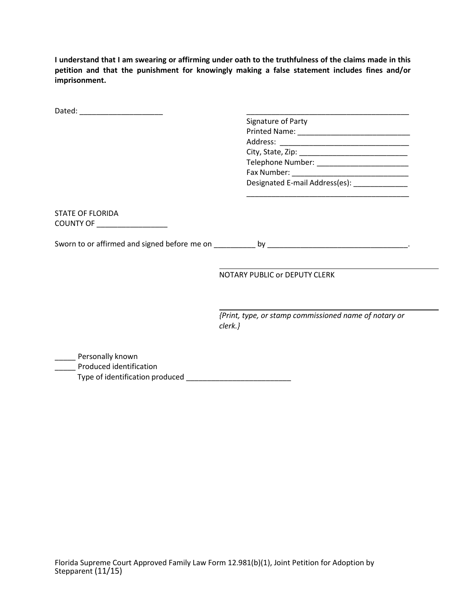**I understand that I am swearing or affirming under oath to the truthfulness of the claims made in this petition and that the punishment for knowingly making a false statement includes fines and/or imprisonment.** 

| Dated: ________________________                           |                                                                     |
|-----------------------------------------------------------|---------------------------------------------------------------------|
|                                                           | Signature of Party                                                  |
|                                                           |                                                                     |
|                                                           |                                                                     |
|                                                           |                                                                     |
|                                                           | Telephone Number: ___________________________                       |
|                                                           |                                                                     |
|                                                           | Designated E-mail Address(es): _____________                        |
| <b>STATE OF FLORIDA</b><br>COUNTY OF ____________________ |                                                                     |
|                                                           |                                                                     |
|                                                           |                                                                     |
|                                                           |                                                                     |
|                                                           | NOTARY PUBLIC or DEPUTY CLERK                                       |
|                                                           |                                                                     |
|                                                           |                                                                     |
|                                                           | {Print, type, or stamp commissioned name of notary or<br>$clerk.$ } |
|                                                           |                                                                     |
| Personally known                                          |                                                                     |
| Produced identification                                   |                                                                     |
| Type of identification produced                           |                                                                     |